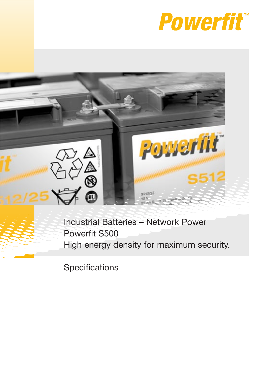



Industrial Batteries – Network Power Powerfit S500 High energy density for maximum security.

**Specifications**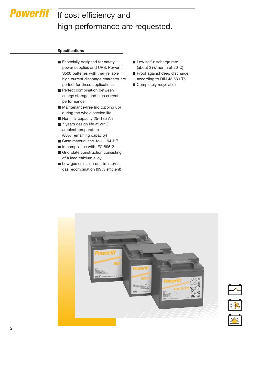# **Powerfit** If cost efficiency and high performance are requested.

#### **Specifications**

- Especially designed for safety power supplies and UPS, Powerfit S500 batteries with their reliable high current discharge character are perfect for these applications
- Perfect combination between energy storage and high current performance
- Maintenance-free (no topping up) during the whole service life
- Nominal capacity 25-185 Ah
- 7 years design life at 20°C ambient temperature (80% remaining capacity)
- Case material acc. to UL 94-HB
- In compliance with IEC 896-2
- Grid plate construction consisting of a lead calcium alloy
- Low gas emission due to internal gas recombination (99% efficient)
- Low self-discharge rate (about 3%/month at 20°C)
- Proof against deep discharge according to DIN 43 539 T5
- Completely recyclable



2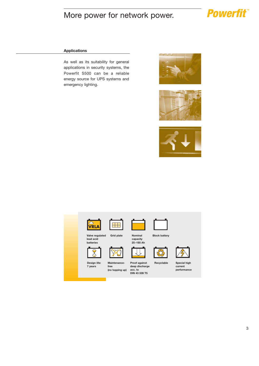### More power for network power.

## **Powerfit**

### **Applications**

As well as its suitability for general applications in security systems, the Powerfit S500 can be a reliable energy source for UPS systems and emergency lighting.







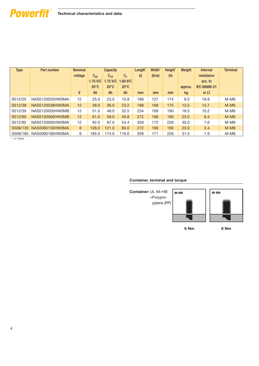### **Technical characteristics and data**

| <b>Type</b> | Part number     | <b>Nominal</b>   |                | <b>Capacity</b> |                | Length <sup>*</sup> | Width <sup>*</sup> | Height <sup>*</sup> | Weight  | <b>Internal</b> | <b>Terminal</b> |
|-------------|-----------------|------------------|----------------|-----------------|----------------|---------------------|--------------------|---------------------|---------|-----------------|-----------------|
|             |                 | voltage          | $C_{20}$       | $C_{10}$        | C <sub>1</sub> | (1)                 | (b/w)              | (h)                 |         | resistance      |                 |
|             |                 |                  | $1.75$ V/C     | $1.75$ V/C      | $1.60$ V/C     |                     |                    |                     |         | acc. to         |                 |
|             |                 |                  | $20^{\circ}$ C | $20^{\circ}$ C  | $20^{\circ}$ C |                     |                    |                     | approx. | IEC 60896-21    |                 |
|             |                 | V                | Ah             | Ah              | Ah             | mm                  | mm                 | mm                  | kg      | $m \Omega$      |                 |
| S512/25     | NAS5120025HW0MA | 12               | 25.0           | 23.5            | 15.8           | 168                 | 127                | 174                 | 9.5     | 18.8            | $M-M6$          |
| S512/38     | NAS5120038HW0MA | 12               | 38.0           | 36.0            | 23.2           | 198                 | 168                | 175                 | 13.5    | 14.7            | $M-M6$          |
| S512/50     | NAS5120050HW0MB | 12               | 51.0           | 48.0            | 32.5           | 234                 | 169                | 190                 | 18.5    | 10.2            | $M-M6$          |
| S512/60     | NAS5120060HW0MB | 12               | 61.0           | 58.0            | 40.8           | 272                 | 166                | 190                 | 23.0    | 8.4             | $M-M6$          |
| S512/92     | NAS5120092HW0MA | 12               | 92.0           | 87.0            | 54.4           | 359                 | 172                | 226                 | 30.0    | 7.6             | $M-M8$          |
| S506/130    | NAS5060130HW0MA | $6 \overline{6}$ | 128.0          | 121.0           | 80.0           | 272                 | 166                | 190                 | 23.0    | 2.4             | $M-M8$          |
| S506/185    | NAS5060185HW0MA | 6                | 185.0          | 174.0           | 116.0          | 359                 | 171                | 226                 | 31.5    | 1.9             | $M-M8$          |

*\* +/-1mm*

**Powerfit** 

#### **Container, terminal and torque**

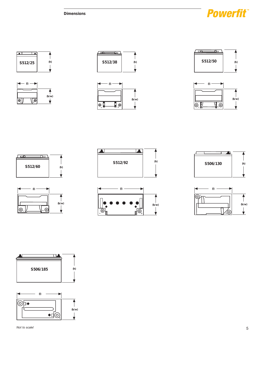**Dimensions**































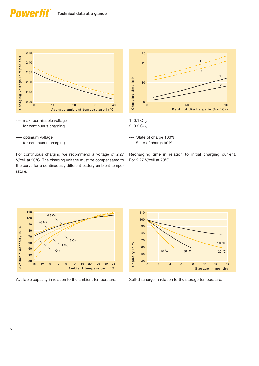### Power



--- max. permissible voltage for continuous charging





––– optimum voltage for continuous charging

- --- State of charge 100%
- –– State of charge 90%

For continuous charging we recommend a voltage of 2.27 V/cell at 20°C. The charging voltage must be compensated to the curve for a continuously different battery ambient temperature.





Available capacity in relation to the ambient temperature.



Self-discharge in relation to the storage temperature.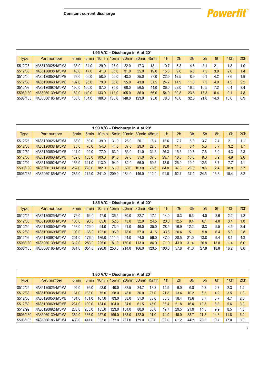

|             |                 |                  |                  | 1.95 V/C - Discharge in A at 20° |       |       |                               |      |                |      |      |      |      |                 |     |
|-------------|-----------------|------------------|------------------|----------------------------------|-------|-------|-------------------------------|------|----------------|------|------|------|------|-----------------|-----|
| <b>Type</b> | Part number     | 3 <sub>min</sub> | 5 <sub>min</sub> |                                  |       |       | 10min 15min 20min 30min 45min |      | 1 <sub>h</sub> | 2h   | 3h   | 5h   | 8h   | 10 <sub>h</sub> | 20h |
| S512/25     | NAS5120025HW0MA | 35.0             | 34.0             | 29.0                             | 25.0  | 22.0  | 17.3                          | 13.1 | 10.7           | 6.3  | 4.6  | 3.1  | 2.1  | 1.8             | 1.0 |
| S512/38     | NAS5120038HW0MA | 48.0             | 47.0             | 41.0                             | 35.0  | 31.0  | 25.0                          | 19.0 | 15.3           | 9.0  | 6.5  | 4.5  | 3.0  | 2.6             | 1.4 |
| S512/50     | NAS5120050HW0MB | 68.0             | 66.0             | 58.0                             | 50.0  | 43.0  | 35.0                          | 27.0 | 22.0           | 12.5 | 8.9  | 6.1  | 4.2  | 3.6             | 1.9 |
| S512/60     | NAS5120060HW0MB | 102.0            | 95.0             | 79.0                             | 65.0  | 55.0  | 43.0                          | 31.5 | 24.7           | 14.9 | 11.0 | 7.3  | 4.9  | 4.2             | 2.2 |
| S512/92     | NAS5120092HW0MA | 106.0            | 100.0            | 87.0                             | 75.0  | 68.0  | 56.5                          | 44.0 | 36.0           | 22.0 | 16.2 | 10.5 | 7.2  | 6.4             | 3.4 |
| S506/130    | NAS5060130HW0MA | 152.0            | 149.0            | 133.0                            | 118.0 | 105.0 | 86.0                          | 66.0 | 54.0           | 30.8 | 23.5 | 15.3 | 10.4 | 9.1             | 4.8 |
| S506/185    | NAS5060185HW0MA | 186.0            | 184.0            | 180.0                            | 163.0 | 148.0 | 123.0                         | 95.0 | 78.0           | 46.0 | 32.0 | 21.0 | 14.3 | 13.0            | 6.9 |

|             |                 |                  |                  | 1.90 V/C - Discharge in A at 20° |       |       |       |                         |                |      |      |      |      |                 |     |
|-------------|-----------------|------------------|------------------|----------------------------------|-------|-------|-------|-------------------------|----------------|------|------|------|------|-----------------|-----|
| <b>Type</b> | Part number     | 3 <sub>min</sub> | 5 <sub>min</sub> | $10$ min                         |       |       |       | 15min 20min 30min 45min | 1 <sub>h</sub> | 2h   | 3h   | 5h   | 8h   | 10 <sub>h</sub> | 20h |
| S512/25     | NAS5120025HW0MA | 56.0             | 50.0             | 39.0                             | 31.0  | 26.0  | 20.1  | 15.4                    | 12.6           | 7.7  | 5.8  | 3.7  | 2.4  | 2.1             | 1.1 |
| S512/38     | NAS5120038HW0MA | 78.0             | 70.0             | 54.0                             | 44.0  | 37.0  | 29.0  | 22.0                    | 18.0           | 11.3 | 8.4  | 5.6  | 3.7  | 3.2             | 1.7 |
| S512/50     | NAS5120050HW0MB | 111.0            | 99.0             | 77.0                             | 63.0  | 53.0  | 41.0  | 31.5                    | 26.3           | 15.3 | 10.7 | 7.6  | 5.0  | 4.3             | 2.3 |
| S512/60     | NAS5120060HW0MB | 152.0            | 136.0            | 103.0                            | 81.0  | 67.0  | 51.0  | 37.5                    | 29.7           | 18.5 | 13.6 | 9.0  | 5.9  | 4.9             | 2.6 |
| S512/92     | NAS5120092HW0MA | 156.0            | 141.0            | 113.0                            | 94.0  | 82.0  | 66.0  | 50.5                    | 42.0           | 26.0 | 19.0 | 12.5 | 8.7  | 7.7             | 4.1 |
| S506/130    | NAS5060130HW0MA | 232.0            | 220.0            | 182.0                            | 151.0 | 130.0 | 103.0 | 78.5                    | 64.0           | 37.8 | 28.0 | 18.8 | 12.4 | 10.8            | 5.7 |
| S506/185    | NAS5060185HW0MA | 285.0            | 272.0            | 241.0                            | 209.0 | 184.0 | 146.0 | 12.0                    | 91.0           | 52.7 | 37.4 | 24.5 | 16.8 | 15.4            | 8.2 |

|             |                 |                  |                  | 1.85 V/C – Discharge in A at $20^\circ$ |       |                         |       |       |                |      |      |      |      |      |     |
|-------------|-----------------|------------------|------------------|-----------------------------------------|-------|-------------------------|-------|-------|----------------|------|------|------|------|------|-----|
| <b>Type</b> | Part number     | 3 <sub>min</sub> | 5 <sub>min</sub> | $10$ min                                |       | 15min 20min 30min 45min |       |       | 1 <sub>h</sub> | 2h   | 3h   | 5h   | 8h   | 10h  | 20h |
| S512/25     | NAS5120025HW0MA | 76.0             | 64.0             | 47.0                                    | 36.5  | 30.0                    | 22.7  | 17.1  | 14.0           | 8.3  | 6.3  | 4.0  | 2.6  | 2.2  | 1.2 |
| S512/38     | NAS5120038HW0MA | 108.0            | 90.0             | 65.0                                    | 52.0  | 43.0                    | 32.0  | 24.5  | 20.0           | 12.5 | 9.4  | 6.1  | 4.0  | 3.4  | 1.8 |
| S512/50     | NAS5120050HW0MB | 153.0            | 129.0            | 94.0                                    | 73.0  | 61.0                    | 46.0  | 35.0  | 28.5           | 16.9 | 12.2 | 8.3  | 5.5  | 4.5  | 2.4 |
| S512/60     | NAS5120060HW0MB | 198.0            | 168.0            | 122.0                                   | 95.0  | 78.0                    | 57.0  | 41.5  | 33.6           | 20.4 | 15.1 | 9.8  | 6.4  | 5.3  | 2.8 |
| S512/92     | NAS5120092HW0MA | 201.0            | 76.0             | 136.0                                   | 111.0 | 94.0                    | 74.0  | 56.0  | 47.0           | 28.5 | 21.0 | 13.8 | 9.4  | 8.1  | 4.3 |
| S506/130    | NAS5060130HW0MA | 312.0            | 283.0            | 225.0                                   | 181.0 | 150.0                   | 113.0 | 86.0  | 71.0           | 43.0 | 31.4 | 20.8 | 13.8 | 11.4 | 6.0 |
| S506/185    | NAS5060185HW0MA | 381.0            | 354.0            | 296.0                                   | 250.0 | 214.0                   | 166.0 | 123.5 | 100.0          | 57.8 | 41.0 | 27.8 | 18.8 | 16.2 | 8.6 |

|             |                 |                  |                  | 1.80 V/C – Discharge in A at 20 $^{\circ}$ |       |       |       |                               |                |      |      |      |      |      |     |
|-------------|-----------------|------------------|------------------|--------------------------------------------|-------|-------|-------|-------------------------------|----------------|------|------|------|------|------|-----|
| <b>Type</b> | Part number     | 3 <sub>min</sub> | 5 <sub>min</sub> |                                            |       |       |       | 10min 15min 20min 30min 45min | 1 <sub>h</sub> | 2h   | 3h   | 5h   | 8h   | 10h  | 20h |
| S512/25     | NAS5120025HW0MA | 92.0             | 76.0             | 52.0                                       | 40.0  | 32.5  | 24.7  | 18.2                          | 14.9           | 9.0  | 6.8  | 4.2  | 2.7  | 2.3  | 1.2 |
| S512/38     | NAS5120038HW0MA | 131.0            | 108.0            | 75.0                                       | 58.0  | 48.0  | 36.0  | 27.0                          | 21.8           | 13.4 | 10.2 | 6.5  | 4.2  | 3.5  | 1.9 |
| S512/50     | NAS5120050HW0MB | 181.0            | 151.0            | 107.0                                      | 83.0  | 68.0  | 51.0  | 38.0                          | 30.5           | 18.4 | 13.6 | 8.7  | 5.7  | 4.7  | 2.5 |
| S512/60     | NAS5120060HW0MB | 231.0            | 190.0            | 134.0                                      | 104.0 | 84.0  | 61.5  | 45.0                          | 36.4           | 21.8 | 16.0 | 10.5 | 6.8  | 5.6  | 3.0 |
| S512/92     | NAS5120092HW0MA | 236.0            | 205.0            | 155.0                                      | 23.0  | 104.0 | 80.0  | 60.0                          | 49.7           | 29.5 | 21.9 | 14.5 | 9.9  | 8.5  | 4.5 |
| S506/130    | NAS5060130HW0MA | 382.0            | 336.0            | 257.0                                      | 199.0 | 163.0 | 122.0 | 91.0                          | 74.0           | 45.0 | 33.7 | 21.8 | 14.3 | 11.8 | 6.2 |
| S506/185    | NAS5060185HW0MA | 468.0            | 417.0            | 333.0                                      | 272.0 | 231.0 | 179.0 | 133.0                         | 106.0          | 61.2 | 44.2 | 29.2 | 19.7 | 17.0 | 9.0 |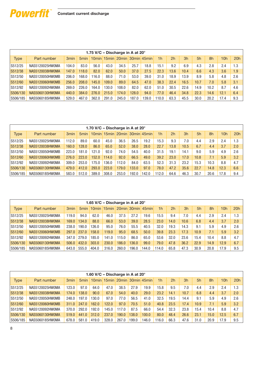

|          |                 |                  |                  | 1.75 V/C – Discharge in A at 20 $^{\circ}$ |       |       |       |                                    |                |      |      |      |      |      |     |
|----------|-----------------|------------------|------------------|--------------------------------------------|-------|-------|-------|------------------------------------|----------------|------|------|------|------|------|-----|
| Type     | Part number     | 3 <sub>min</sub> | 5 <sub>min</sub> |                                            |       |       |       | 10 min 15 min 20 min 30 min 45 min | 1 <sub>h</sub> | 2h   | 3h   | 5h   | 8h   | 10h  | 20h |
| S512/25  | NAS5120025HW0MA | 104.0            | 83.0             | 56.0                                       | 43.0  | 34.5  | 25.7  | 18.8                               | 15.1           | 9.2  | 6.9  | 4.3  | 2.8  | 2.4  | 1.3 |
| S512/38  | NAS5120038HW0MA | 147.0            | 118.0            | 82.0                                       | 62.0  | 50.0  | 37.0  | 27.5                               | 22.3           | 13.6 | 10.4 | 6.6  | 4.3  | 3.6  | 1.9 |
| S512/50  | NAS5120050HW0MB | 206.0            | 168.0            | 116.0                                      | 88.0  | 71.0  | 53.0  | 39.0                               | 31.0           | 18.9 | 13.9 | 8.9  | 5.8  | 4.8  | 2.6 |
| S512/60  | NAS5120060HW0MB | 256.0            | 208.0            | 145.0                                      | 109.0 | 89.0  | 64.5  | 47.0                               | 38.3           | 22.4 | 16.5 | 10.7 | 7.0  | 5.8  | 3.1 |
| S512/92  | NAS5120092HW0MA | 269.0            | 226.0            | 164.0                                      | 130.0 | 108.0 | 82.0  | 62.0                               | 51.0           | 30.5 | 22.6 | 14.9 | 10.2 | 8.7  | 4.6 |
| S506/130 | NAS5060130HW0MA | 440.0            | 384.0            | 276.0                                      | 215.0 | 174.0 | 128.0 | 94.0                               | 77.0           | 46.4 | 34.8 | 22.3 | 14.6 | 12.1 | 6.4 |
| S506/185 | NAS5060185HW0MA | 529.0            | 467.0            | 362.0                                      | 291.0 | 245.0 | 187.0 | 139.0                              | 110.0          | 63.3 | 45.5 | 30.0 | 20.2 | 17.4 | 9.3 |

|             |                 |                  |                  | 1.70 V/C – Discharge in A at $20^\circ$ |       |       |       |                               |                |      |      |      |      |                 |     |
|-------------|-----------------|------------------|------------------|-----------------------------------------|-------|-------|-------|-------------------------------|----------------|------|------|------|------|-----------------|-----|
| <b>Type</b> | Part number     | 3 <sub>min</sub> | 5 <sub>min</sub> |                                         |       |       |       | 10min 15min 20min 30min 45min | 1 <sub>h</sub> | 2h   | 3h   | 5h   | 8h   | 10 <sub>h</sub> | 20h |
| S512/25     | NAS5120025HW0MA | 112.0            | 89.0             | 60.0                                    | 45.0  | 36.5  | 26.5  | 19.2                          | 15.3           | 9.3  | 7.0  | 4.4  | 2.9  | 2.4             | 1.3 |
| S512/38     | NAS5120038HW0MA | 160.0            | 128.0            | 86.0                                    | 65.0  | 52.0  | 38.0  | 28.0                          | 22.7           | 13.8 | 10.5 | 6.7  | 4.4  | 3.7             | 2.0 |
| S512/50     | NAS5120050HW0MB | 223.0            | 181.0            | 121.0                                   | 92.0  | 74.0  | 54.5  | 40.0                          | 31.5           | 19.1 | 14.1 | 9.0  | 5.9  | 4.9             | 2.6 |
| S512/60     | NAS5120060HW0MB | 276.0            | 223.0            | 152.0                                   | 114.0 | 92.0  | 66.5  | 49.0                          | 39.2           | 23.0 | 17.0 | 10.8 | 7.1  | 5.9             | 3.2 |
| S512/92     | NAS5120092HW0MA | 309.0            | 253.0            | 175.0                                   | 136.0 | 112.0 | 84.0  | 63.5                          | 52.3           | 31.3 | 23.2 | 15.3 | 10.3 | 8.8             | 4.7 |
| S506/130    | NAS5060130HW0MA | 479.0            | 412.0            | 293.0                                   | 223.0 | 179.0 | 133.0 | 97.0                          | 78.0           | 47.2 | 35.6 | 22.7 | 14.8 | 12.3            | 6.6 |
| S506/185    | NAS5060185HW0MA | 583.0            | 512.0            | 389.0                                   | 308.0 | 253.0 | 192.0 | 142.0                         | 112.0          | 64.6 | 46.3 | 30.7 | 20.6 | 17.8            | 9.4 |

|             |                 |                  |                  | 1.65 V/C – Discharge in A at 20 $^{\circ}$ |       |       |       |                               |                |      |      |      |      |      |     |
|-------------|-----------------|------------------|------------------|--------------------------------------------|-------|-------|-------|-------------------------------|----------------|------|------|------|------|------|-----|
| <b>Type</b> | Part number     | 3 <sub>min</sub> | 5 <sub>min</sub> |                                            |       |       |       | 10min 15min 20min 30min 45min | 1 <sub>h</sub> | 2h   | 3h   | 5h   | 8h   | 10h  | 20h |
| S512/25     | NAS5120025HW0MA | 119.0            | 94.0             | 62.0                                       | 46.0  | 37.5  | 27.2  | 19.6                          | 15.5           | 9.4  | 7.0  | 4.4  | 2.9  | 2.4  | 1.3 |
| S512/38     | NAS5120038HW0MA | 169.0            | 134.0            | 88.0                                       | 66.0  | 53.0  | 39.0  | 28.5                          | 23.0           | 14.0 | 10.6 | 6.8  | 4.4  | 3.7  | 2.0 |
| S512/50     | NAS5120050HW0MB | 238.0            | 190.0            | 126.0                                      | 95.0  | 76.0  | 55.5  | 40.5                          | 32.0           | 19.3 | 14.3 | 9.1  | 5.9  | 4.9  | 2.6 |
| S512/60     | NAS5120060HW0MB | 297.0            | 237.0            | 158.0                                      | 119.0 | 95.0  | 68.5  | 50.0                          | 39.8           | 23.3 | 17.3 | 10.9 | 7.1  | 5.9  | 3.2 |
| S512/92     | NAS5120092HW0MA | 347.0            | 279.0            | 185.0                                      | 141.0 | 115.0 | 86.0  | 65.0                          | 53.6           | 32.0 | 23.6 | 15.4 | 10.4 | 8.8  | 4.7 |
| S506/130    | NAS5060130HW0MA | 506.0            | 432.0            | 303.0                                      | 230.0 | 186.0 | 136.0 | 99.0                          | 79.0           | 47.8 | 36.2 | 22.9 | 14.9 | 12.9 | 6.7 |
| S506/185    | NAS5060185HW0MA | 643.0            | 555.0            | 404.0                                      | 316.0 | 260.0 | 196.0 | 144.0                         | 114.0          | 65.8 | 47.3 | 30.9 | 20.8 | 17.9 | 9.5 |

|             |                 |                  |                  | 1.60 V/C – Discharge in A at 20 $^{\circ}$ |       |       |       |                               |                |      |      |      |      |                 |     |
|-------------|-----------------|------------------|------------------|--------------------------------------------|-------|-------|-------|-------------------------------|----------------|------|------|------|------|-----------------|-----|
| <b>Type</b> | Part number     | 3 <sub>min</sub> | 5 <sub>min</sub> |                                            |       |       |       | 10min 15min 20min 30min 45min | 1 <sub>h</sub> | 2h   | 3h   | 5h   | 8h   | 10 <sub>h</sub> | 20h |
| S512/25     | NAS5120025HW0MA | 123.0            | 97.0             | 64.0                                       | 47.0  | 38.5  | 27.9  | 19.9                          | 15.8           | 9.5  | 7.0  | 4.4  | 2.9  | 2.4             | 1.3 |
| S512/38     | NAS5120038HW0MA | 174.0            | 138.0            | 90.0                                       | 67.0  | 54.0  | 40.0  | 29.0                          | 23.2           | 14.1 | 10.7 | 6.8  | 4.4  | 3.7             | 2.0 |
| S512/50     | NAS5120050HW0MB | 248.0            | 197.0            | 130.0                                      | 97.0  | 77.0  | 56.5  | 41.0                          | 32.5           | 19.5 | 14.4 | 9.1  | 5.9  | 4.9             | 2.6 |
| S512/60     | NAS5120060HW0MB | 311.0            | 247.0            | 162.0                                      | 122.0 | 97.0  | 70.5  | 51.0                          | 40.8           | 23.5 | 17.4 | 10.9 | 7.1  | 5.9             | 3.2 |
| S512/92     | NAS5120092HW0MA | 370.0            | 292.0            | 192.0                                      | 145.0 | 117.0 | 87.5  | 66.0                          | 54.4           | 32.3 | 23.8 | 15.4 | 10.4 | 8.8             | 4.7 |
| S506/130    | NAS5060130HW0MA | 519.0            | 441<br>.0        | 312.0                                      | 237.0 | 190.0 | 38.0  | 100.0                         | 80.0           | 48.4 | 26.6 | 23.1 | 15.0 | 12.5            | 6.7 |
| S506/185    | NAS5060185HW0MA | 678.0            | 581.0            | 419.0                                      | 328.0 | 267.0 | 199.0 | 146.0                         | 116.0          | 66.3 | 47.6 | 31.0 | 20.9 | 17.9            | 9.5 |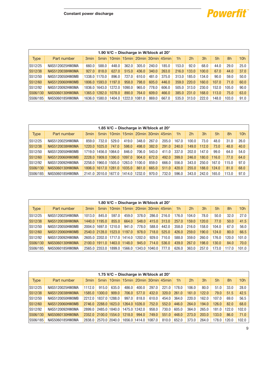

i<br>I

|             |                 |                  |               |        |        | 1.90 V/C – Discharge in W/block at 20 $^{\circ}$ |       |                                    |                |       |       |       |       |                 |
|-------------|-----------------|------------------|---------------|--------|--------|--------------------------------------------------|-------|------------------------------------|----------------|-------|-------|-------|-------|-----------------|
| <b>Type</b> | Part number     | 3 <sub>min</sub> |               |        |        |                                                  |       | 5min 10min 15min 20min 30min 45min | 1 <sub>h</sub> | 2h    | 3h    | 5h    | 8h    | 10 <sub>h</sub> |
| S512/25     | NAS5120025HW0MA | 660.0            | 588.0         | 448.0  | 362.0  | 305.0                                            | 240.0 | 185.0                              | 153.0          | 92.0  | 68.0  | 44.0  | 29.0  | 25.0            |
| S512/38     | NAS5120038HW0MA | 927.0            | 818.0         | 627.0  | 515.0  | 436.0                                            | 340.0 | 263.0                              | 216.0          | 133.0 | 100.0 | 67.0  | 44.0  | 37.0            |
| S512/50     | NAS5120050HW0MB |                  | 1338.0 1170.0 | 896.0  | 727.0  | 610.0                                            | 481.0 | 375.0                              | 313.0          | 185.0 | 134.0 | 90.0  | 59.0  | 50.0            |
| S512/60     | NAS5120060HW0MB |                  | 1806.0 1593.0 | 1197.0 | 958.0  | 798.0                                            | 605.0 | 446.0                              | 359.0          | 220.0 | 160.0 | 107.0 | 71.0  | 60.0            |
| S512/92     | NAS5120092HW0MA | 1836.0           | 1643.0        | 1272.0 | 1090.0 | 965.0                                            | 778.0 | 606.0                              | 505.0          | 313.0 | 230.0 | 152.0 | 105.0 | 90.0            |
| S506/130    | NAS5060130HW0MA | 1365.0           | 1282.0        | 1078.0 | 890.0  | 764.0                                            | 609.0 | 466.0                              | 385.0          | 231.0 | 168.0 | 113.0 | 75.0  | 63.0            |
| S506/185    | NAS5060185HW0MA | 1636.0           | 1580.0        | 1404.0 | 1222.0 | 1081.0                                           | 869.0 | 667.0                              | 535.0          | 313.0 | 222.0 | 148.0 | 103.0 | 91.0            |

|             |                 |                  |                      |               |        | 1.85 V/C – Discharge in W/block at 20 $^{\circ}$ |       |       |                |       |       |       |       |                 |
|-------------|-----------------|------------------|----------------------|---------------|--------|--------------------------------------------------|-------|-------|----------------|-------|-------|-------|-------|-----------------|
| <b>Type</b> | Part number     | 3 <sub>min</sub> | 5 <sub>min</sub>     |               |        | $10$ min $15$ min $20$ min $30$ min $45$ min     |       |       | 1 <sub>h</sub> | 2h    | 3h    | 5h    | 8h    | 10 <sub>h</sub> |
| S512/25     | NAS5120025HW0MA | 859.0            | 732.0                | 529.0         | 419.0  | 348.0                                            | 267.0 | 205.0 | 167.0          | 100.0 | 73.0  | 48.0  | 31.0  | 26.0            |
| S512/38     | NAS5120038HW0MA | 1220.0           | 1025.0               | 747.0         | 598.0  | 498.0                                            | 382.0 | 291.0 | 240.0          | 149.0 | 112.0 | 73.0  | 48.0  | 40.0            |
| S512/50     | NAS5120050HW0MB | 1719.0           | 1456.0 1064.0        |               | 846.0  | 706.0                                            | 543.0 | 411.0 | 337.0          | 202.0 | 147.0 | 99.0  | 64.0  | 54.0            |
| S512/60     | NAS5120060HW0MB | 2228.0           | 1909.0 1390.0        |               | 1097.0 | 904.0                                            | 672.0 | 492.0 | 399.0          | 246.0 | 180.0 | 116.0 | 77.0  | 64.0            |
| S512/92     | NAS5120092HW0MA | 2258.0           |                      | 1960.0 1505.0 | 1263.0 | 1100.0                                           | 859.0 | 666.0 | 556.0          | 343.0 | 250.0 | 167.0 | 115.0 | 97.0            |
| S506/130    | NAS5060130HW0MA |                  | 1806.0 1617.0 1281.0 |               | 1035.0 | 861.0                                            | 665.0 | 511.0 | 420.0          | 255.0 | 188.0 | 124.0 | 81.0  | 68.0            |
| S506/185    | NAS5060185HW0MA |                  | 2141.0 2010.0 1677.0 |               | 1414.0 | 1232.0                                           | 970.0 | 732.0 | 596.0          | 343.0 | 242.0 | 165.0 | 113.0 | 97.0            |

|             |                 |                  |               | 1.80 V/C – Discharge in W/block at 20° |        |        |        |                                              |                |       |       |       |       |       |
|-------------|-----------------|------------------|---------------|----------------------------------------|--------|--------|--------|----------------------------------------------|----------------|-------|-------|-------|-------|-------|
| <b>Type</b> | Part number     | 3 <sub>min</sub> |               |                                        |        |        |        | 5min   10min   15min   20min   30min   45min | 1 <sub>h</sub> | 2h    | 3h    | 5h    | 8h    | 10h   |
| S512/25     | NAS5120025HW0MA | 1013.0           | 845.0         | 597.0                                  | 459.0  | 378.0  | 286.0  | 216.0                                        | 176.0          | 104.0 | 78.0  | 50.0  | 32.0  | 27.0  |
| S512/38     | NAS5120038HW0MA |                  | 1440.0 1195.0 | 855.0                                  | 664.0  | 548.0  | 415.0  | 313.0                                        | 257.0          | 159.0 | 120.0 | 77.0  | 50.0  | 41.5  |
| S512/50     | NAS5120050HW0MB | 2004.0           | 1697.0        | 1210.0                                 | 941.0  | 778.0  | 588.0  | 442.0                                        | 358.0          | 216.0 | 158.0 | 104.0 | 67.0  | 56.0  |
| S512/60     | NAS5120060HW0MB |                  | 2540.0 2128.0 | 1523.0                                 | 1197.0 | 978.0  | 718.0  | 525.0                                        | 426.0          | 259.0 | 190.0 | 124.0 | 80.0  | 66.5  |
| S512/92     | NAS5120092HW0MA |                  | 2605.0 2202.0 | 1717.0 1414.0                          |        | 1202.0 | 929.0  | 710.0                                        | 588.0          | 359.0 | 260.0 | 176.0 | 120.0 | 101.0 |
| S506/130    | NAS5060130HW0MA |                  | 2100.0 1911.0 | 1463.0                                 | 1148.0 | 945.0  | 714.0  | 536.0                                        | 439.0          | 267.0 | 198.0 | 130.0 | 84.0  | 70.0  |
| S506/185    | NAS5060185HW0MA |                  | 2565.0 2353.0 | 1899.0                                 | 1566.0 | 1343.0 | 1040.0 | 777.0                                        | 626.0          | 363.0 | 257.0 | 173.0 | 117.0 | 101.0 |

| 1.75 V/C - Discharge in W/block at 20° |                 |                  |                      |        |                 |                                    |        |       |                |                |       |       |       |                 |
|----------------------------------------|-----------------|------------------|----------------------|--------|-----------------|------------------------------------|--------|-------|----------------|----------------|-------|-------|-------|-----------------|
| Type                                   | Part number     | 3 <sub>min</sub> |                      |        |                 | 5min 10min 15min 20min 30min 45min |        |       | 1 <sub>h</sub> | 2 <sub>h</sub> | 3h    | 5h    | 8h    | 10 <sub>h</sub> |
| S512/25                                | NAS5120025HW0MA | 1112.0           | 915.0                | 635.0  | 486.0           | 400.0                              | 297.0  | 221.0 | 178.0          | 106.0          | 80.0  | 51.0  | 33.0  | 28.0            |
| S512/38                                | NAS5120038HW0MA | 1585.0           | 1300.0               | 909.0  | 706.0           | 577.0                              | 432.0  | 320.0 | 261.0          | 161.0          | 122.0 | 79.0  | 51.5  | 42.5            |
| S512/50                                | NAS5120050HW0MB | 2212.0           | 1837.0               | 1288.0 | 997.0           | 818.0                              | 610.0  | 454.0 | 364.0          | 220.0          | 162.0 | 107.0 | 69.0  | 56.5            |
| S512/60                                | NAS5120060HW0MB | 2746.0           | 2288.0 1623.0        |        |                 | 1264.0 1026.0                      | 752.0  | 552.0 | 446.0          | 264.0          | 194.0 | 126.0 | 82.0  | 68.0            |
| S512/92                                | NAS5120092HW0MA | 2899.0           | 2485.0               | 1840.0 | $1475.0$ 1242.0 |                                    | 958.0  | 730.0 | 605.0          | 364.0          | 265.0 | 181.0 | 122.0 | 102.0           |
| S506/130                               | NAS5060130HW0MA | 2352.0           | 2100.0               | 1554.0 | 1218.0          | 994.0                              | 749.0  | 551.0 | 448.0          | 273.0          | 203.0 | 133.0 | 86.0  | 71.0            |
| S506/185                               | NAS5060185HW0MA |                  | 2838.0 2570.0 2040.0 |        | 1656.011414.0   |                                    | 1087.0 | 810.0 | 652.0          | 373.0          | 264.0 | 178.0 | 120.0 | 102.0           |